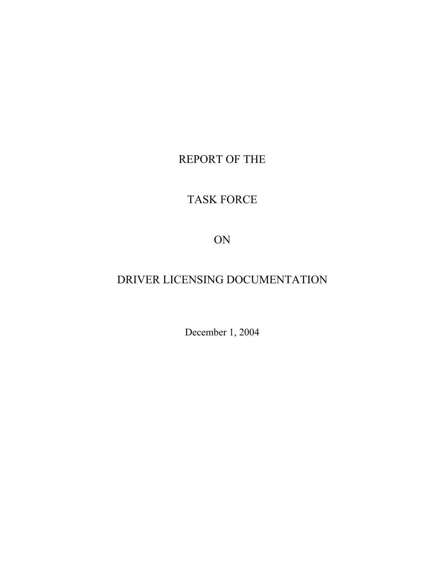# REPORT OF THE

# TASK FORCE

ON

# DRIVER LICENSING DOCUMENTATION

December 1, 2004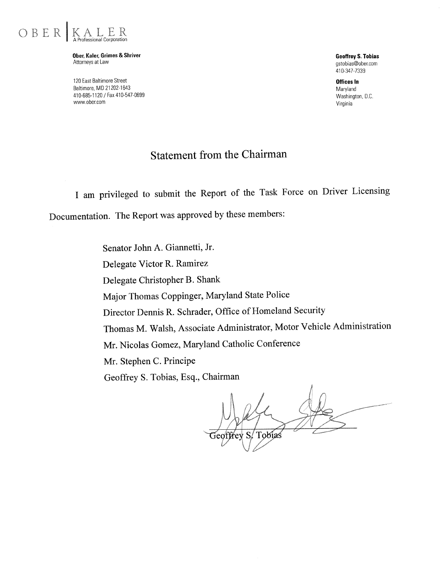

Ober, Kaler, Grimes & Shriver Attorneys at Law

120 East Baltimore Street Baltimore, MD 21202-1643 410-685-1120 / Fax 410-547-0699 www.ober.com

**Geoffrey S. Tobias** astobias@ober.com 410-347-7339

Offices In Marvland Washington, D.C. Virginia

# **Statement from the Chairman**

I am privileged to submit the Report of the Task Force on Driver Licensing

Documentation. The Report was approved by these members:

Senator John A. Giannetti, Jr. Delegate Victor R. Ramirez Delegate Christopher B. Shank Major Thomas Coppinger, Maryland State Police Director Dennis R. Schrader, Office of Homeland Security Thomas M. Walsh, Associate Administrator, Motor Vehicle Administration Mr. Nicolas Gomez, Maryland Catholic Conference Mr. Stephen C. Principe Geoffrey S. Tobias, Esq., Chairman

<sub>S</sub> Tobias eoffrev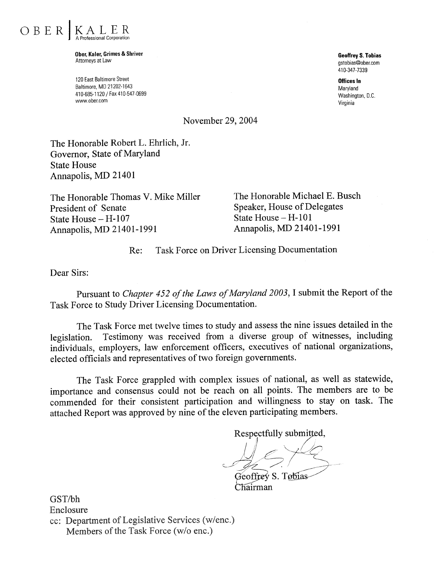

Ober, Kaler, Grimes & Shriver Attorneys at I aw

120 East Baltimore Street Baltimore, MD 21202-1643 410-685-1120 / Fax 410-547-0699 www.ober.com

**Geoffrey S. Tobias** astobias@ober.com 410-347-7339

**Offices In** Marvland Washington, D.C. Virginia

November 29, 2004

The Honorable Robert L. Ehrlich, Jr. Governor, State of Maryland **State House** Annapolis, MD 21401

The Honorable Thomas V. Mike Miller President of Senate State House - H-107 Annapolis, MD 21401-1991

The Honorable Michael E. Busch **Speaker, House of Delegates** State House - H-101 Annapolis, MD 21401-1991

**Task Force on Driver Licensing Documentation** Re:

Dear Sirs:

Pursuant to Chapter 452 of the Laws of Maryland 2003, I submit the Report of the Task Force to Study Driver Licensing Documentation.

The Task Force met twelve times to study and assess the nine issues detailed in the Testimony was received from a diverse group of witnesses, including legislation. individuals, employers, law enforcement officers, executives of national organizations, elected officials and representatives of two foreign governments.

The Task Force grappled with complex issues of national, as well as statewide, importance and consensus could not be reach on all points. The members are to be commended for their consistent participation and willingness to stay on task. The attached Report was approved by nine of the eleven participating members.

Respectfully submitted,

Geoffrey S. Tobias Chairman

GST/bh Enclosure cc: Department of Legislative Services (w/enc.) Members of the Task Force (w/o enc.)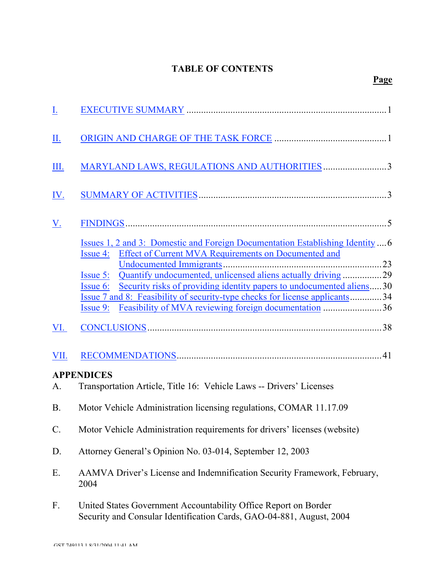# TABLE OF CONTENTS

| <u>I.</u>       |                                                                                                                                                                                                                                                                                                                                                                                                                                                                                             |  |  |  |  |
|-----------------|---------------------------------------------------------------------------------------------------------------------------------------------------------------------------------------------------------------------------------------------------------------------------------------------------------------------------------------------------------------------------------------------------------------------------------------------------------------------------------------------|--|--|--|--|
| <u>Ш.</u>       |                                                                                                                                                                                                                                                                                                                                                                                                                                                                                             |  |  |  |  |
| III.            | MARYLAND LAWS, REGULATIONS AND AUTHORITIES 3                                                                                                                                                                                                                                                                                                                                                                                                                                                |  |  |  |  |
| <u>IV.</u>      |                                                                                                                                                                                                                                                                                                                                                                                                                                                                                             |  |  |  |  |
| <u>V.</u>       |                                                                                                                                                                                                                                                                                                                                                                                                                                                                                             |  |  |  |  |
|                 | <u>Issues 1, 2 and 3: Domestic and Foreign Documentation Establishing Identity</u> 6<br>Issue 4: Effect of Current MVA Requirements on Documented and<br>Quantify undocumented, unlicensed aliens actually driving 29<br><b>Issue 5:</b><br>Security risks of providing identity papers to undocumented aliens30<br><b>Issue 6:</b><br>Issue 7 and 8: Feasibility of security-type checks for license applicants34<br><u>Issue 9: Feasibility of MVA reviewing foreign documentation</u> 36 |  |  |  |  |
| VI.             |                                                                                                                                                                                                                                                                                                                                                                                                                                                                                             |  |  |  |  |
| VII.            |                                                                                                                                                                                                                                                                                                                                                                                                                                                                                             |  |  |  |  |
| A.              | <b>APPENDICES</b><br>Transportation Article, Title 16: Vehicle Laws -- Drivers' Licenses                                                                                                                                                                                                                                                                                                                                                                                                    |  |  |  |  |
| <b>B.</b>       | Motor Vehicle Administration licensing regulations, COMAR 11.17.09                                                                                                                                                                                                                                                                                                                                                                                                                          |  |  |  |  |
| $\mathcal{C}$ . | Motor Vehicle Administration requirements for drivers' licenses (website)                                                                                                                                                                                                                                                                                                                                                                                                                   |  |  |  |  |
| D.              | Attorney General's Opinion No. 03-014, September 12, 2003                                                                                                                                                                                                                                                                                                                                                                                                                                   |  |  |  |  |
| Ε.              | AAMVA Driver's License and Indemnification Security Framework, February,<br>2004                                                                                                                                                                                                                                                                                                                                                                                                            |  |  |  |  |
| F.              | United States Government Accountability Office Report on Border<br>Security and Consular Identification Cards, GAO-04-881, August, 2004                                                                                                                                                                                                                                                                                                                                                     |  |  |  |  |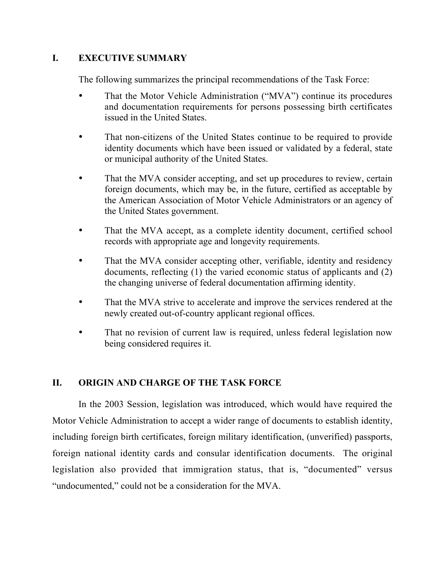# I. EXECUTIVE SUMMARY

The following summarizes the principal recommendations of the Task Force:

- That the Motor Vehicle Administration ("MVA") continue its procedures and documentation requirements for persons possessing birth certificates issued in the United States.
- That non-citizens of the United States continue to be required to provide identity documents which have been issued or validated by a federal, state or municipal authority of the United States.
- That the MVA consider accepting, and set up procedures to review, certain foreign documents, which may be, in the future, certified as acceptable by the American Association of Motor Vehicle Administrators or an agency of the United States government.
- That the MVA accept, as a complete identity document, certified school records with appropriate age and longevity requirements.
- That the MVA consider accepting other, verifiable, identity and residency documents, reflecting (1) the varied economic status of applicants and (2) the changing universe of federal documentation affirming identity.
- That the MVA strive to accelerate and improve the services rendered at the newly created out-of-country applicant regional offices.
- That no revision of current law is required, unless federal legislation now being considered requires it.

# II. ORIGIN AND CHARGE OF THE TASK FORCE

In the 2003 Session, legislation was introduced, which would have required the Motor Vehicle Administration to accept a wider range of documents to establish identity, including foreign birth certificates, foreign military identification, (unverified) passports, foreign national identity cards and consular identification documents. The original legislation also provided that immigration status, that is, "documented" versus "undocumented," could not be a consideration for the MVA.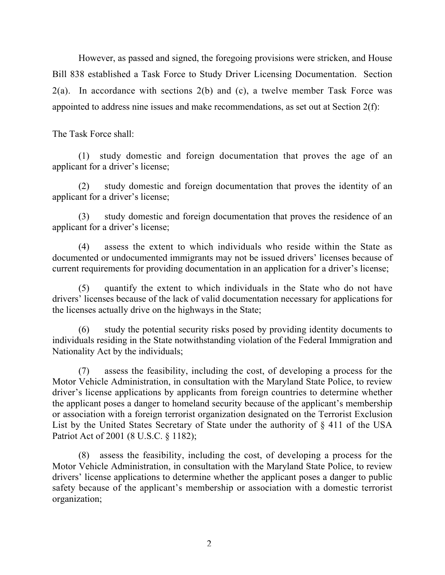However, as passed and signed, the foregoing provisions were stricken, and House Bill 838 established a Task Force to Study Driver Licensing Documentation. Section  $2(a)$ . In accordance with sections  $2(b)$  and (c), a twelve member Task Force was appointed to address nine issues and make recommendations, as set out at Section 2(f):

The Task Force shall:

(1) study domestic and foreign documentation that proves the age of an applicant for a driver's license;

(2) study domestic and foreign documentation that proves the identity of an applicant for a driver's license;

(3) study domestic and foreign documentation that proves the residence of an applicant for a driver's license;

(4) assess the extent to which individuals who reside within the State as documented or undocumented immigrants may not be issued drivers' licenses because of current requirements for providing documentation in an application for a driver's license;

(5) quantify the extent to which individuals in the State who do not have drivers' licenses because of the lack of valid documentation necessary for applications for the licenses actually drive on the highways in the State;

(6) study the potential security risks posed by providing identity documents to individuals residing in the State notwithstanding violation of the Federal Immigration and Nationality Act by the individuals;

(7) assess the feasibility, including the cost, of developing a process for the Motor Vehicle Administration, in consultation with the Maryland State Police, to review driver's license applications by applicants from foreign countries to determine whether the applicant poses a danger to homeland security because of the applicant's membership or association with a foreign terrorist organization designated on the Terrorist Exclusion List by the United States Secretary of State under the authority of § 411 of the USA Patriot Act of 2001 (8 U.S.C. § 1182);

(8) assess the feasibility, including the cost, of developing a process for the Motor Vehicle Administration, in consultation with the Maryland State Police, to review drivers' license applications to determine whether the applicant poses a danger to public safety because of the applicant's membership or association with a domestic terrorist organization;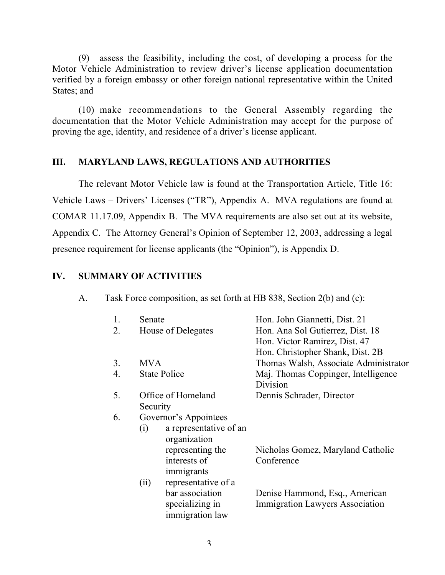(9) assess the feasibility, including the cost, of developing a process for the Motor Vehicle Administration to review driver's license application documentation verified by a foreign embassy or other foreign national representative within the United States; and

(10) make recommendations to the General Assembly regarding the documentation that the Motor Vehicle Administration may accept for the purpose of proving the age, identity, and residence of a driver's license applicant.

# III. MARYLAND LAWS, REGULATIONS AND AUTHORITIES

The relevant Motor Vehicle law is found at the Transportation Article, Title 16: Vehicle Laws – Drivers' Licenses ("TR"), Appendix A. MVA regulations are found at COMAR 11.17.09, Appendix B. The MVA requirements are also set out at its website, Appendix C. The Attorney General's Opinion of September 12, 2003, addressing a legal presence requirement for license applicants (the "Opinion"), is Appendix D.

# IV. SUMMARY OF ACTIVITIES

| A. |  |  | Task Force composition, as set forth at HB 838, Section 2(b) and (c): |  |  |  |  |  |
|----|--|--|-----------------------------------------------------------------------|--|--|--|--|--|
|----|--|--|-----------------------------------------------------------------------|--|--|--|--|--|

| 1.               | Senate                                                | Hon. John Giannetti, Dist. 21                                            |  |  |
|------------------|-------------------------------------------------------|--------------------------------------------------------------------------|--|--|
| 2.               | House of Delegates                                    | Hon. Ana Sol Gutierrez, Dist. 18<br>Hon. Victor Ramirez, Dist. 47        |  |  |
|                  |                                                       | Hon. Christopher Shank, Dist. 2B                                         |  |  |
| 3 <sub>1</sub>   | <b>MVA</b>                                            | Thomas Walsh, Associate Administrator                                    |  |  |
| $\overline{4}$ . | <b>State Police</b>                                   | Maj. Thomas Coppinger, Intelligence<br>Division                          |  |  |
| 5.               | Office of Homeland                                    | Dennis Schrader, Director                                                |  |  |
|                  | Security                                              |                                                                          |  |  |
| 6.               | Governor's Appointees                                 |                                                                          |  |  |
|                  | a representative of an<br>$\left( 1\right)$           |                                                                          |  |  |
|                  | organization                                          |                                                                          |  |  |
|                  | representing the                                      | Nicholas Gomez, Maryland Catholic                                        |  |  |
|                  | interests of                                          | Conference                                                               |  |  |
|                  | immigrants                                            |                                                                          |  |  |
|                  | representative of a<br>(i)                            |                                                                          |  |  |
|                  | bar association<br>specializing in<br>immigration law | Denise Hammond, Esq., American<br><b>Immigration Lawyers Association</b> |  |  |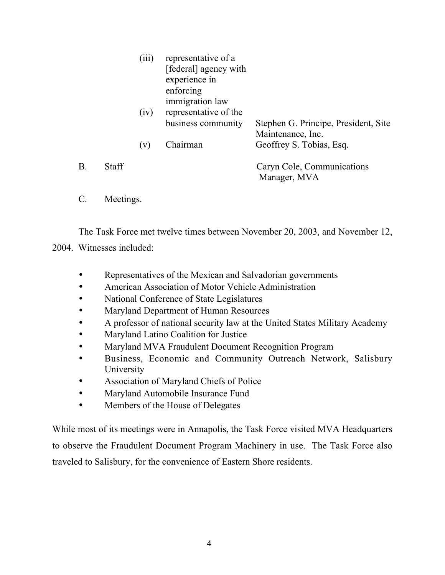|    |              | (iii)<br>(iv) | representative of a<br>[federal] agency with<br>experience in<br>enforcing<br>immigration law<br>representative of the |                                                           |
|----|--------------|---------------|------------------------------------------------------------------------------------------------------------------------|-----------------------------------------------------------|
|    |              |               | business community                                                                                                     | Stephen G. Principe, President, Site<br>Maintenance, Inc. |
|    |              | (v)           | Chairman                                                                                                               | Geoffrey S. Tobias, Esq.                                  |
| Β. | <b>Staff</b> |               |                                                                                                                        | Caryn Cole, Communications<br>Manager, MVA                |

C. Meetings.

The Task Force met twelve times between November 20, 2003, and November 12,

# 2004. Witnesses included:

- Representatives of the Mexican and Salvadorian governments
- American Association of Motor Vehicle Administration
- National Conference of State Legislatures
- Maryland Department of Human Resources
- A professor of national security law at the United States Military Academy
- Maryland Latino Coalition for Justice
- Maryland MVA Fraudulent Document Recognition Program
- Business, Economic and Community Outreach Network, Salisbury University
- Association of Maryland Chiefs of Police
- Maryland Automobile Insurance Fund
- Members of the House of Delegates

While most of its meetings were in Annapolis, the Task Force visited MVA Headquarters to observe the Fraudulent Document Program Machinery in use. The Task Force also traveled to Salisbury, for the convenience of Eastern Shore residents.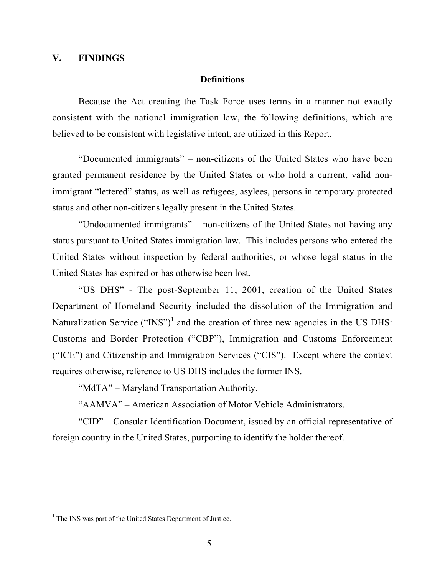# V. FINDINGS

#### Definitions

Because the Act creating the Task Force uses terms in a manner not exactly consistent with the national immigration law, the following definitions, which are believed to be consistent with legislative intent, are utilized in this Report.

"Documented immigrants" – non-citizens of the United States who have been granted permanent residence by the United States or who hold a current, valid nonimmigrant "lettered" status, as well as refugees, asylees, persons in temporary protected status and other non-citizens legally present in the United States.

"Undocumented immigrants" – non-citizens of the United States not having any status pursuant to United States immigration law. This includes persons who entered the United States without inspection by federal authorities, or whose legal status in the United States has expired or has otherwise been lost.

"US DHS" - The post-September 11, 2001, creation of the United States Department of Homeland Security included the dissolution of the Immigration and Naturalization Service (" $INS$ ")<sup>1</sup> and the creation of three new agencies in the US DHS: Customs and Border Protection ("CBP"), Immigration and Customs Enforcement ("ICE") and Citizenship and Immigration Services ("CIS"). Except where the context requires otherwise, reference to US DHS includes the former INS.

"MdTA" – Maryland Transportation Authority.

"AAMVA" – American Association of Motor Vehicle Administrators.

"CID" – Consular Identification Document, issued by an official representative of foreign country in the United States, purporting to identify the holder thereof.

 $\frac{1}{1}$  $1$  The INS was part of the United States Department of Justice.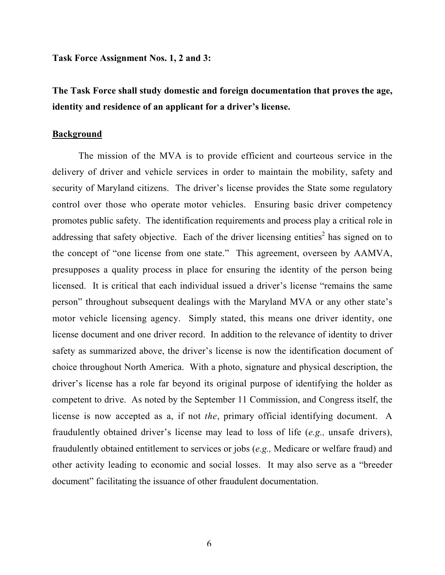Task Force Assignment Nos. 1, 2 and 3:

The Task Force shall study domestic and foreign documentation that proves the age, identity and residence of an applicant for a driver's license.

## **Background**

The mission of the MVA is to provide efficient and courteous service in the delivery of driver and vehicle services in order to maintain the mobility, safety and security of Maryland citizens. The driver's license provides the State some regulatory control over those who operate motor vehicles. Ensuring basic driver competency promotes public safety. The identification requirements and process play a critical role in addressing that safety objective. Each of the driver licensing entities<sup>2</sup> has signed on to the concept of "one license from one state." This agreement, overseen by AAMVA, presupposes a quality process in place for ensuring the identity of the person being licensed. It is critical that each individual issued a driver's license "remains the same person" throughout subsequent dealings with the Maryland MVA or any other state's motor vehicle licensing agency. Simply stated, this means one driver identity, one license document and one driver record. In addition to the relevance of identity to driver safety as summarized above, the driver's license is now the identification document of choice throughout North America. With a photo, signature and physical description, the driver's license has a role far beyond its original purpose of identifying the holder as competent to drive. As noted by the September 11 Commission, and Congress itself, the license is now accepted as a, if not *the*, primary official identifying document. A fraudulently obtained driver's license may lead to loss of life (*e.g.,* unsafe drivers), fraudulently obtained entitlement to services or jobs (*e.g.,* Medicare or welfare fraud) and other activity leading to economic and social losses. It may also serve as a "breeder document" facilitating the issuance of other fraudulent documentation.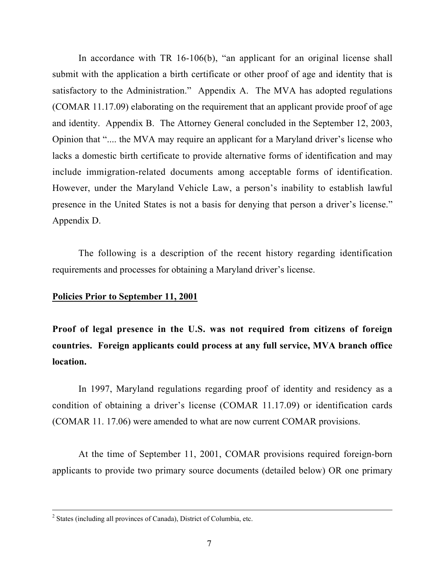In accordance with TR 16-106(b), "an applicant for an original license shall submit with the application a birth certificate or other proof of age and identity that is satisfactory to the Administration." Appendix A. The MVA has adopted regulations (COMAR 11.17.09) elaborating on the requirement that an applicant provide proof of age and identity. Appendix B. The Attorney General concluded in the September 12, 2003, Opinion that ".... the MVA may require an applicant for a Maryland driver's license who lacks a domestic birth certificate to provide alternative forms of identification and may include immigration-related documents among acceptable forms of identification. However, under the Maryland Vehicle Law, a person's inability to establish lawful presence in the United States is not a basis for denying that person a driver's license." Appendix D.

The following is a description of the recent history regarding identification requirements and processes for obtaining a Maryland driver's license.

## Policies Prior to September 11, 2001

Proof of legal presence in the U.S. was not required from citizens of foreign countries. Foreign applicants could process at any full service, MVA branch office location.

In 1997, Maryland regulations regarding proof of identity and residency as a condition of obtaining a driver's license (COMAR 11.17.09) or identification cards (COMAR 11. 17.06) were amended to what are now current COMAR provisions.

At the time of September 11, 2001, COMAR provisions required foreign-born applicants to provide two primary source documents (detailed below) OR one primary

 $\frac{1}{2}$  $2$  States (including all provinces of Canada), District of Columbia, etc.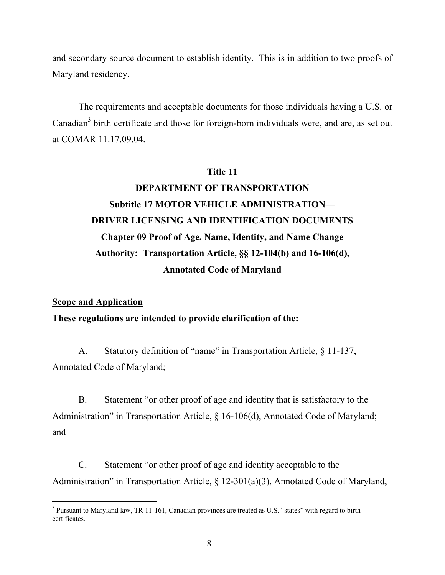and secondary source document to establish identity. This is in addition to two proofs of Maryland residency.

The requirements and acceptable documents for those individuals having a U.S. or Canadian<sup>3</sup> birth certificate and those for foreign-born individuals were, and are, as set out at COMAR 11.17.09.04.

# Title 11

# DEPARTMENT OF TRANSPORTATION Subtitle 17 MOTOR VEHICLE ADMINISTRATION— DRIVER LICENSING AND IDENTIFICATION DOCUMENTS Chapter 09 Proof of Age, Name, Identity, and Name Change Authority: Transportation Article, §§ 12-104(b) and 16-106(d), Annotated Code of Maryland

## Scope and Application

# These regulations are intended to provide clarification of the:

A. Statutory definition of "name" in Transportation Article, § 11-137, Annotated Code of Maryland;

B. Statement "or other proof of age and identity that is satisfactory to the Administration" in Transportation Article, § 16-106(d), Annotated Code of Maryland; and

C. Statement "or other proof of age and identity acceptable to the Administration" in Transportation Article, § 12-301(a)(3), Annotated Code of Maryland,

 $\frac{1}{3}$ <sup>3</sup> Pursuant to Maryland law, TR 11-161, Canadian provinces are treated as U.S. "states" with regard to birth certificates.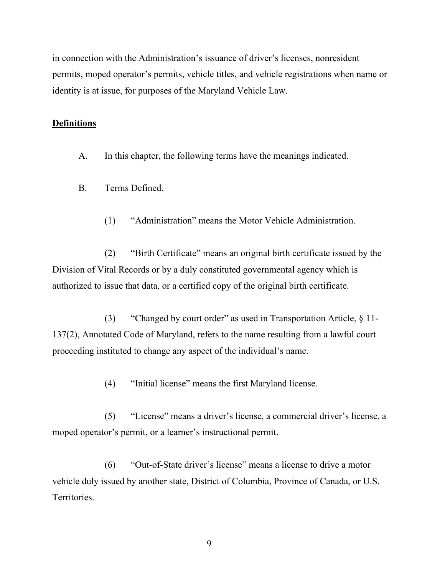in connection with the Administration's issuance of driver's licenses, nonresident permits, moped operator's permits, vehicle titles, and vehicle registrations when name or identity is at issue, for purposes of the Maryland Vehicle Law.

# **Definitions**

A. In this chapter, the following terms have the meanings indicated.

- B. Terms Defined.
	- (1) "Administration" means the Motor Vehicle Administration.

(2) "Birth Certificate" means an original birth certificate issued by the Division of Vital Records or by a duly constituted governmental agency which is authorized to issue that data, or a certified copy of the original birth certificate.

(3) "Changed by court order" as used in Transportation Article, § 11- 137(2), Annotated Code of Maryland, refers to the name resulting from a lawful court proceeding instituted to change any aspect of the individual's name.

(4) "Initial license" means the first Maryland license.

(5) "License" means a driver's license, a commercial driver's license, a moped operator's permit, or a learner's instructional permit.

(6) "Out-of-State driver's license" means a license to drive a motor vehicle duly issued by another state, District of Columbia, Province of Canada, or U.S. **Territories**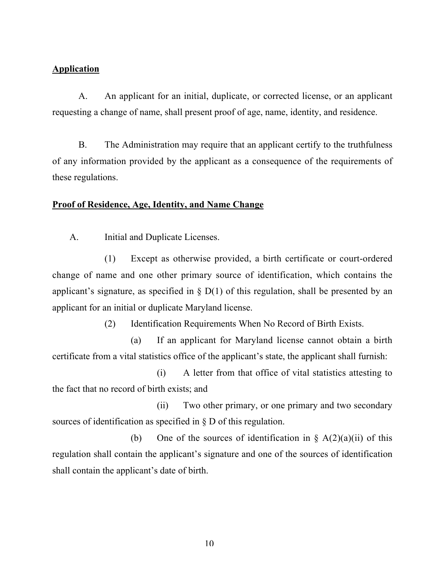# **Application**

A. An applicant for an initial, duplicate, or corrected license, or an applicant requesting a change of name, shall present proof of age, name, identity, and residence.

B. The Administration may require that an applicant certify to the truthfulness of any information provided by the applicant as a consequence of the requirements of these regulations.

# Proof of Residence, Age, Identity, and Name Change

A. Initial and Duplicate Licenses.

(1) Except as otherwise provided, a birth certificate or court-ordered change of name and one other primary source of identification, which contains the applicant's signature, as specified in  $\S$  D(1) of this regulation, shall be presented by an applicant for an initial or duplicate Maryland license.

(2) Identification Requirements When No Record of Birth Exists.

(a) If an applicant for Maryland license cannot obtain a birth certificate from a vital statistics office of the applicant's state, the applicant shall furnish:

(i) A letter from that office of vital statistics attesting to the fact that no record of birth exists; and

(ii) Two other primary, or one primary and two secondary sources of identification as specified in § D of this regulation.

(b) One of the sources of identification in  $\S A(2)(a)(ii)$  of this regulation shall contain the applicant's signature and one of the sources of identification shall contain the applicant's date of birth.

10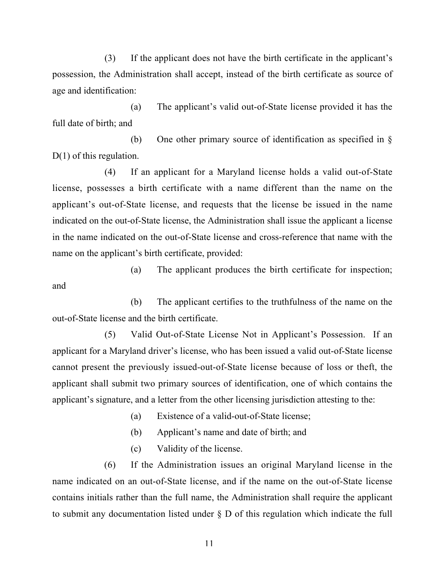(3) If the applicant does not have the birth certificate in the applicant's possession, the Administration shall accept, instead of the birth certificate as source of age and identification:

(a) The applicant's valid out-of-State license provided it has the full date of birth; and

(b) One other primary source of identification as specified in § D(1) of this regulation.

(4) If an applicant for a Maryland license holds a valid out-of-State license, possesses a birth certificate with a name different than the name on the applicant's out-of-State license, and requests that the license be issued in the name indicated on the out-of-State license, the Administration shall issue the applicant a license in the name indicated on the out-of-State license and cross-reference that name with the name on the applicant's birth certificate, provided:

(a) The applicant produces the birth certificate for inspection; and

(b) The applicant certifies to the truthfulness of the name on the out-of-State license and the birth certificate.

(5) Valid Out-of-State License Not in Applicant's Possession. If an applicant for a Maryland driver's license, who has been issued a valid out-of-State license cannot present the previously issued-out-of-State license because of loss or theft, the applicant shall submit two primary sources of identification, one of which contains the applicant's signature, and a letter from the other licensing jurisdiction attesting to the:

(a) Existence of a valid-out-of-State license;

(b) Applicant's name and date of birth; and

(c) Validity of the license.

(6) If the Administration issues an original Maryland license in the name indicated on an out-of-State license, and if the name on the out-of-State license contains initials rather than the full name, the Administration shall require the applicant to submit any documentation listed under § D of this regulation which indicate the full

11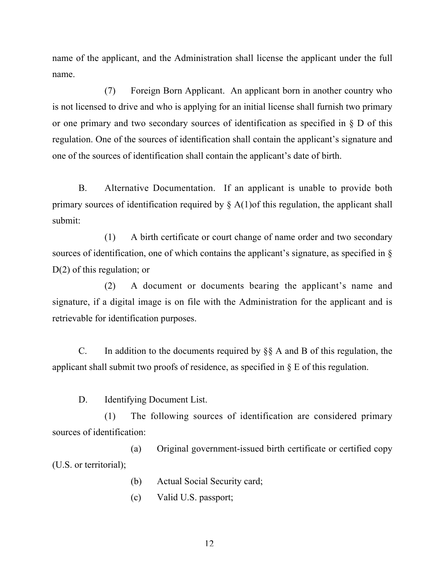name of the applicant, and the Administration shall license the applicant under the full name.

(7) Foreign Born Applicant. An applicant born in another country who is not licensed to drive and who is applying for an initial license shall furnish two primary or one primary and two secondary sources of identification as specified in § D of this regulation. One of the sources of identification shall contain the applicant's signature and one of the sources of identification shall contain the applicant's date of birth.

B. Alternative Documentation. If an applicant is unable to provide both primary sources of identification required by  $\S$  A(1)of this regulation, the applicant shall submit:

(1) A birth certificate or court change of name order and two secondary sources of identification, one of which contains the applicant's signature, as specified in § D(2) of this regulation; or

(2) A document or documents bearing the applicant's name and signature, if a digital image is on file with the Administration for the applicant and is retrievable for identification purposes.

C. In addition to the documents required by §§ A and B of this regulation, the applicant shall submit two proofs of residence, as specified in § E of this regulation.

D. Identifying Document List.

(1) The following sources of identification are considered primary sources of identification:

(a) Original government-issued birth certificate or certified copy (U.S. or territorial);

- (b) Actual Social Security card;
- (c) Valid U.S. passport;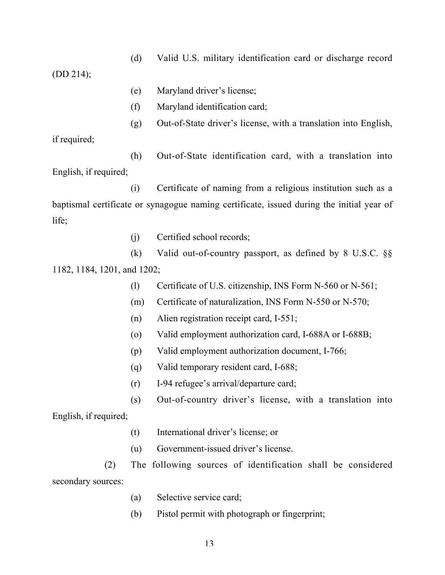(d) Valid U.S. military identification card or discharge record

(DD 214);

- (e) Maryland driver's license;
- (f) Maryland identification card;
- (g) Out-of-State driver's license, with a translation into English,

if required;

(h) Out-of-State identification card, with a translation into English, if required;

(i) Certificate of naming from a religious institution such as a baptismal certificate or synagogue naming certificate, issued during the initial year of life;

(j) Certified school records;

(k) Valid out-of-country passport, as defined by 8 U.S.C. §§ 1182, 1184, 1201, and 1202;

- (l) Certificate of U.S. citizenship, INS Form N-560 or N-561;
- (m) Certificate of naturalization, INS Form N-550 or N-570;
- (n) Alien registration receipt card, I-551;
- (o) Valid employment authorization card, I-688A or I-688B;
- (p) Valid employment authorization document, I-766;
- (q) Valid temporary resident card, I-688;
- (r) I-94 refugee's arrival/departure card;
- (s) Out-of-country driver's license, with a translation into

English, if required;

- (t) International driver's license; or
- (u) Government-issued driver's license.

(2) The following sources of identification shall be considered secondary sources:

- (a) Selective service card;
- (b) Pistol permit with photograph or fingerprint;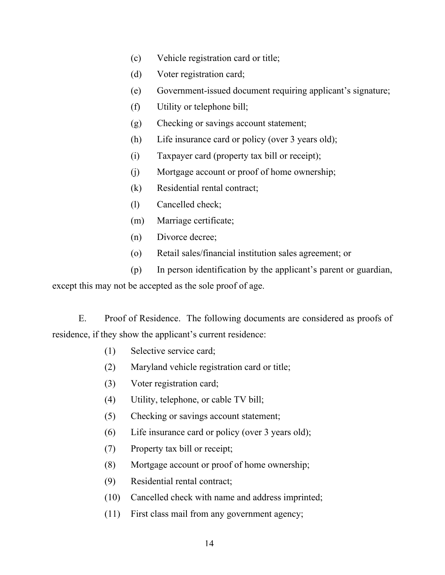- (c) Vehicle registration card or title;
- (d) Voter registration card;
- (e) Government-issued document requiring applicant's signature;
- (f) Utility or telephone bill;
- (g) Checking or savings account statement;
- (h) Life insurance card or policy (over 3 years old);
- (i) Taxpayer card (property tax bill or receipt);
- (j) Mortgage account or proof of home ownership;
- (k) Residential rental contract;
- (l) Cancelled check;
- (m) Marriage certificate;
- (n) Divorce decree;
- (o) Retail sales/financial institution sales agreement; or
- (p) In person identification by the applicant's parent or guardian,

except this may not be accepted as the sole proof of age.

E. Proof of Residence. The following documents are considered as proofs of residence, if they show the applicant's current residence:

- (1) Selective service card;
- (2) Maryland vehicle registration card or title;
- (3) Voter registration card;
- (4) Utility, telephone, or cable TV bill;
- (5) Checking or savings account statement;
- (6) Life insurance card or policy (over 3 years old);
- (7) Property tax bill or receipt;
- (8) Mortgage account or proof of home ownership;
- (9) Residential rental contract;
- (10) Cancelled check with name and address imprinted;
- (11) First class mail from any government agency;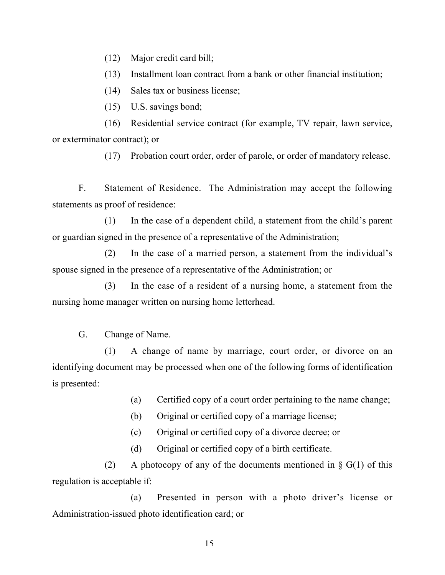(12) Major credit card bill;

(13) Installment loan contract from a bank or other financial institution;

(14) Sales tax or business license;

(15) U.S. savings bond;

(16) Residential service contract (for example, TV repair, lawn service, or exterminator contract); or

(17) Probation court order, order of parole, or order of mandatory release.

F. Statement of Residence. The Administration may accept the following statements as proof of residence:

(1) In the case of a dependent child, a statement from the child's parent or guardian signed in the presence of a representative of the Administration;

(2) In the case of a married person, a statement from the individual's spouse signed in the presence of a representative of the Administration; or

(3) In the case of a resident of a nursing home, a statement from the nursing home manager written on nursing home letterhead.

G. Change of Name.

(1) A change of name by marriage, court order, or divorce on an identifying document may be processed when one of the following forms of identification is presented:

(a) Certified copy of a court order pertaining to the name change;

(b) Original or certified copy of a marriage license;

(c) Original or certified copy of a divorce decree; or

(d) Original or certified copy of a birth certificate.

(2) A photocopy of any of the documents mentioned in  $\S$  G(1) of this regulation is acceptable if:

(a) Presented in person with a photo driver's license or Administration-issued photo identification card; or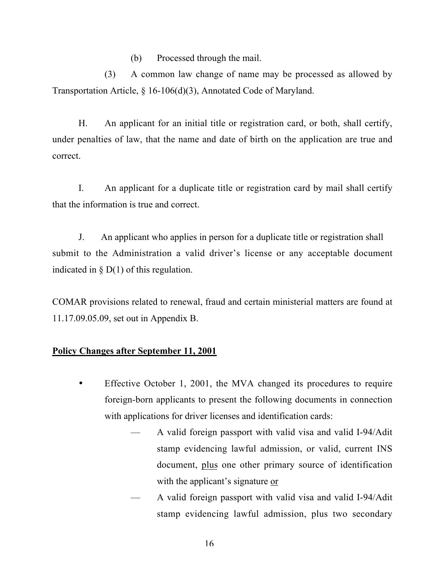(b) Processed through the mail.

(3) A common law change of name may be processed as allowed by Transportation Article, § 16-106(d)(3), Annotated Code of Maryland.

H. An applicant for an initial title or registration card, or both, shall certify, under penalties of law, that the name and date of birth on the application are true and correct.

I. An applicant for a duplicate title or registration card by mail shall certify that the information is true and correct.

J. An applicant who applies in person for a duplicate title or registration shall submit to the Administration a valid driver's license or any acceptable document indicated in  $\S$  D(1) of this regulation.

COMAR provisions related to renewal, fraud and certain ministerial matters are found at 11.17.09.05.09, set out in Appendix B.

# Policy Changes after September 11, 2001

- Effective October 1, 2001, the MVA changed its procedures to require foreign-born applicants to present the following documents in connection with applications for driver licenses and identification cards:
	- A valid foreign passport with valid visa and valid I-94/Adit stamp evidencing lawful admission, or valid, current INS document, plus one other primary source of identification with the applicant's signature or
	- A valid foreign passport with valid visa and valid I-94/Adit stamp evidencing lawful admission, plus two secondary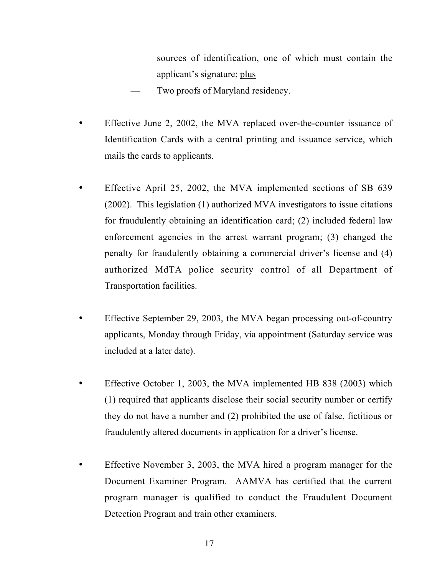sources of identification, one of which must contain the applicant's signature; plus

- Two proofs of Maryland residency.
- Effective June 2, 2002, the MVA replaced over-the-counter issuance of Identification Cards with a central printing and issuance service, which mails the cards to applicants.
- Effective April 25, 2002, the MVA implemented sections of SB 639 (2002). This legislation (1) authorized MVA investigators to issue citations for fraudulently obtaining an identification card; (2) included federal law enforcement agencies in the arrest warrant program; (3) changed the penalty for fraudulently obtaining a commercial driver's license and (4) authorized MdTA police security control of all Department of Transportation facilities.
- Effective September 29, 2003, the MVA began processing out-of-country applicants, Monday through Friday, via appointment (Saturday service was included at a later date).
- Effective October 1, 2003, the MVA implemented HB 838 (2003) which (1) required that applicants disclose their social security number or certify they do not have a number and (2) prohibited the use of false, fictitious or fraudulently altered documents in application for a driver's license.
- Effective November 3, 2003, the MVA hired a program manager for the Document Examiner Program. AAMVA has certified that the current program manager is qualified to conduct the Fraudulent Document Detection Program and train other examiners.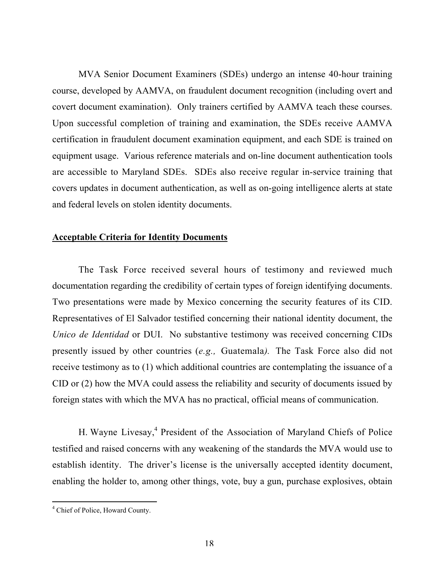MVA Senior Document Examiners (SDEs) undergo an intense 40-hour training course, developed by AAMVA, on fraudulent document recognition (including overt and covert document examination). Only trainers certified by AAMVA teach these courses. Upon successful completion of training and examination, the SDEs receive AAMVA certification in fraudulent document examination equipment, and each SDE is trained on equipment usage. Various reference materials and on-line document authentication tools are accessible to Maryland SDEs. SDEs also receive regular in-service training that covers updates in document authentication, as well as on-going intelligence alerts at state and federal levels on stolen identity documents.

# Acceptable Criteria for Identity Documents

The Task Force received several hours of testimony and reviewed much documentation regarding the credibility of certain types of foreign identifying documents. Two presentations were made by Mexico concerning the security features of its CID. Representatives of El Salvador testified concerning their national identity document, the *Unico de Identidad* or DUI. No substantive testimony was received concerning CIDs presently issued by other countries (*e.g.,* Guatemala*).* The Task Force also did not receive testimony as to (1) which additional countries are contemplating the issuance of a CID or (2) how the MVA could assess the reliability and security of documents issued by foreign states with which the MVA has no practical, official means of communication.

H. Wayne Livesay,<sup>4</sup> President of the Association of Maryland Chiefs of Police testified and raised concerns with any weakening of the standards the MVA would use to establish identity. The driver's license is the universally accepted identity document, enabling the holder to, among other things, vote, buy a gun, purchase explosives, obtain

 $\frac{1}{4}$ Chief of Police, Howard County.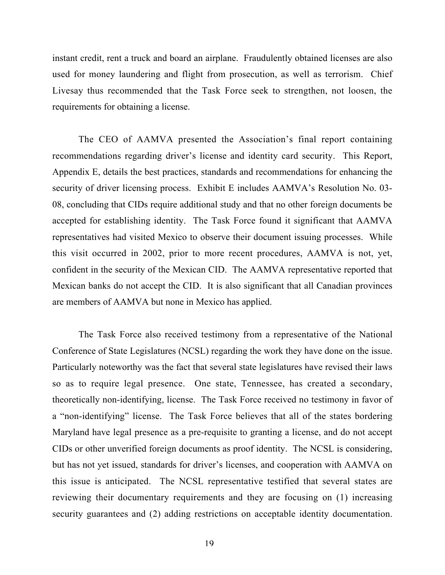instant credit, rent a truck and board an airplane. Fraudulently obtained licenses are also used for money laundering and flight from prosecution, as well as terrorism. Chief Livesay thus recommended that the Task Force seek to strengthen, not loosen, the requirements for obtaining a license.

The CEO of AAMVA presented the Association's final report containing recommendations regarding driver's license and identity card security. This Report, Appendix E, details the best practices, standards and recommendations for enhancing the security of driver licensing process. Exhibit E includes AAMVA's Resolution No. 03- 08, concluding that CIDs require additional study and that no other foreign documents be accepted for establishing identity. The Task Force found it significant that AAMVA representatives had visited Mexico to observe their document issuing processes. While this visit occurred in 2002, prior to more recent procedures, AAMVA is not, yet, confident in the security of the Mexican CID. The AAMVA representative reported that Mexican banks do not accept the CID. It is also significant that all Canadian provinces are members of AAMVA but none in Mexico has applied.

The Task Force also received testimony from a representative of the National Conference of State Legislatures (NCSL) regarding the work they have done on the issue. Particularly noteworthy was the fact that several state legislatures have revised their laws so as to require legal presence. One state, Tennessee, has created a secondary, theoretically non-identifying, license. The Task Force received no testimony in favor of a "non-identifying" license. The Task Force believes that all of the states bordering Maryland have legal presence as a pre-requisite to granting a license, and do not accept CIDs or other unverified foreign documents as proof identity. The NCSL is considering, but has not yet issued, standards for driver's licenses, and cooperation with AAMVA on this issue is anticipated. The NCSL representative testified that several states are reviewing their documentary requirements and they are focusing on (1) increasing security guarantees and (2) adding restrictions on acceptable identity documentation.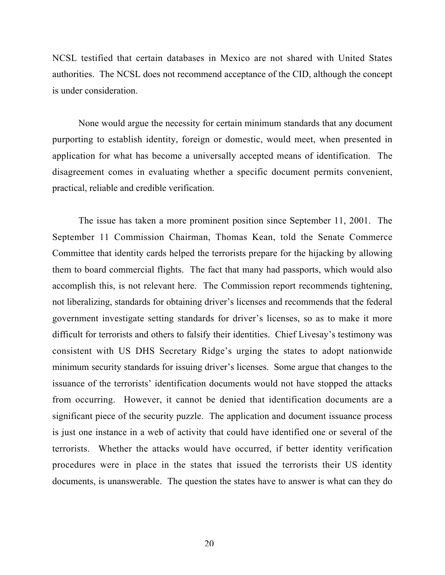NCSL testified that certain databases in Mexico are not shared with United States authorities. The NCSL does not recommend acceptance of the CID, although the concept is under consideration.

None would argue the necessity for certain minimum standards that any document purporting to establish identity, foreign or domestic, would meet, when presented in application for what has become a universally accepted means of identification. The disagreement comes in evaluating whether a specific document permits convenient, practical, reliable and credible verification.

The issue has taken a more prominent position since September 11, 2001. The September 11 Commission Chairman, Thomas Kean, told the Senate Commerce Committee that identity cards helped the terrorists prepare for the hijacking by allowing them to board commercial flights. The fact that many had passports, which would also accomplish this, is not relevant here. The Commission report recommends tightening, not liberalizing, standards for obtaining driver's licenses and recommends that the federal government investigate setting standards for driver's licenses, so as to make it more difficult for terrorists and others to falsify their identities. Chief Livesay's testimony was consistent with US DHS Secretary Ridge's urging the states to adopt nationwide minimum security standards for issuing driver's licenses. Some argue that changes to the issuance of the terrorists' identification documents would not have stopped the attacks from occurring. However, it cannot be denied that identification documents are a significant piece of the security puzzle. The application and document issuance process is just one instance in a web of activity that could have identified one or several of the terrorists. Whether the attacks would have occurred, if better identity verification procedures were in place in the states that issued the terrorists their US identity documents, is unanswerable. The question the states have to answer is what can they do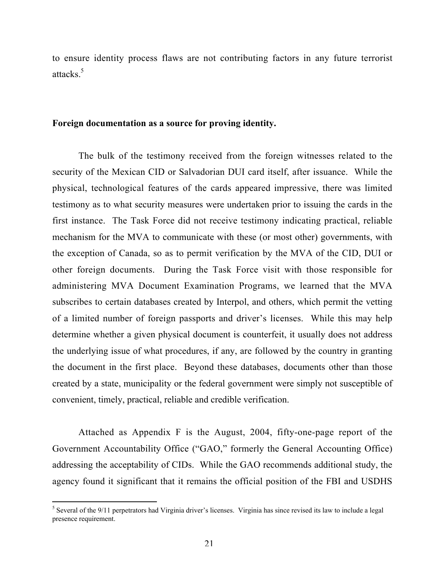to ensure identity process flaws are not contributing factors in any future terrorist attacks.<sup>5</sup>

#### Foreign documentation as a source for proving identity.

The bulk of the testimony received from the foreign witnesses related to the security of the Mexican CID or Salvadorian DUI card itself, after issuance. While the physical, technological features of the cards appeared impressive, there was limited testimony as to what security measures were undertaken prior to issuing the cards in the first instance. The Task Force did not receive testimony indicating practical, reliable mechanism for the MVA to communicate with these (or most other) governments, with the exception of Canada, so as to permit verification by the MVA of the CID, DUI or other foreign documents. During the Task Force visit with those responsible for administering MVA Document Examination Programs, we learned that the MVA subscribes to certain databases created by Interpol, and others, which permit the vetting of a limited number of foreign passports and driver's licenses. While this may help determine whether a given physical document is counterfeit, it usually does not address the underlying issue of what procedures, if any, are followed by the country in granting the document in the first place. Beyond these databases, documents other than those created by a state, municipality or the federal government were simply not susceptible of convenient, timely, practical, reliable and credible verification.

Attached as Appendix F is the August, 2004, fifty-one-page report of the Government Accountability Office ("GAO," formerly the General Accounting Office) addressing the acceptability of CIDs. While the GAO recommends additional study, the agency found it significant that it remains the official position of the FBI and USDHS

 $\frac{1}{5}$  $<sup>5</sup>$  Several of the 9/11 perpetrators had Virginia driver's licenses. Virginia has since revised its law to include a legal</sup> presence requirement.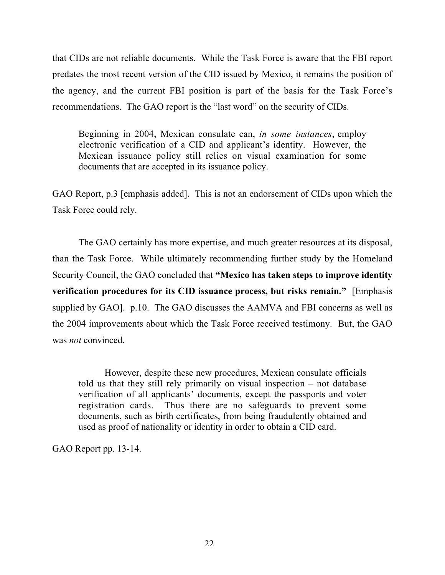that CIDs are not reliable documents. While the Task Force is aware that the FBI report predates the most recent version of the CID issued by Mexico, it remains the position of the agency, and the current FBI position is part of the basis for the Task Force's recommendations. The GAO report is the "last word" on the security of CIDs.

Beginning in 2004, Mexican consulate can, *in some instances*, employ electronic verification of a CID and applicant's identity. However, the Mexican issuance policy still relies on visual examination for some documents that are accepted in its issuance policy.

GAO Report, p.3 [emphasis added]. This is not an endorsement of CIDs upon which the Task Force could rely.

The GAO certainly has more expertise, and much greater resources at its disposal, than the Task Force. While ultimately recommending further study by the Homeland Security Council, the GAO concluded that "Mexico has taken steps to improve identity verification procedures for its CID issuance process, but risks remain." [Emphasis supplied by GAO]. p.10. The GAO discusses the AAMVA and FBI concerns as well as the 2004 improvements about which the Task Force received testimony. But, the GAO was *not* convinced.

However, despite these new procedures, Mexican consulate officials told us that they still rely primarily on visual inspection – not database verification of all applicants' documents, except the passports and voter registration cards. Thus there are no safeguards to prevent some documents, such as birth certificates, from being fraudulently obtained and used as proof of nationality or identity in order to obtain a CID card.

GAO Report pp. 13-14.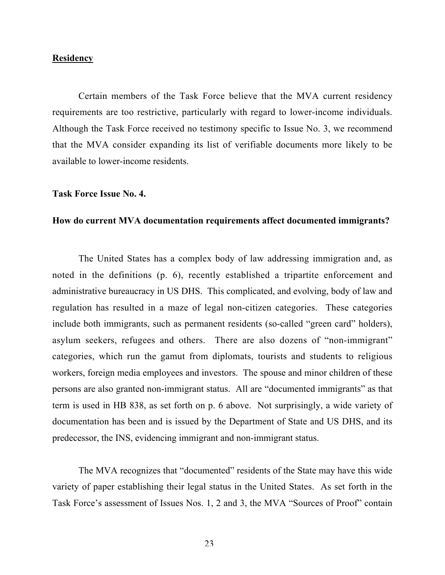#### **Residency**

Certain members of the Task Force believe that the MVA current residency requirements are too restrictive, particularly with regard to lower-income individuals. Although the Task Force received no testimony specific to Issue No. 3, we recommend that the MVA consider expanding its list of verifiable documents more likely to be available to lower-income residents.

#### Task Force Issue No. 4.

## How do current MVA documentation requirements affect documented immigrants?

The United States has a complex body of law addressing immigration and, as noted in the definitions (p. 6), recently established a tripartite enforcement and administrative bureaucracy in US DHS. This complicated, and evolving, body of law and regulation has resulted in a maze of legal non-citizen categories. These categories include both immigrants, such as permanent residents (so-called "green card" holders), asylum seekers, refugees and others. There are also dozens of "non-immigrant" categories, which run the gamut from diplomats, tourists and students to religious workers, foreign media employees and investors. The spouse and minor children of these persons are also granted non-immigrant status. All are "documented immigrants" as that term is used in HB 838, as set forth on p. 6 above. Not surprisingly, a wide variety of documentation has been and is issued by the Department of State and US DHS, and its predecessor, the INS, evidencing immigrant and non-immigrant status.

The MVA recognizes that "documented" residents of the State may have this wide variety of paper establishing their legal status in the United States. As set forth in the Task Force's assessment of Issues Nos. 1, 2 and 3, the MVA "Sources of Proof" contain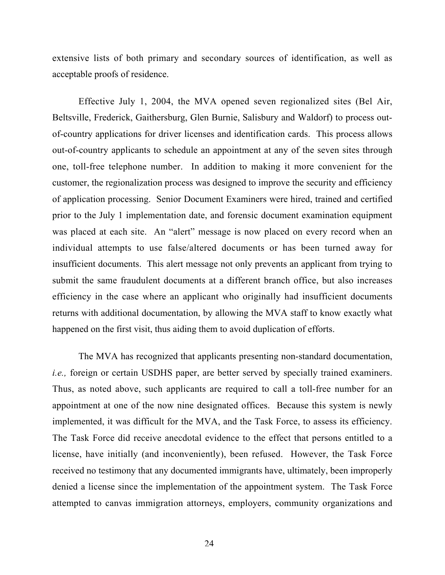extensive lists of both primary and secondary sources of identification, as well as acceptable proofs of residence.

Effective July 1, 2004, the MVA opened seven regionalized sites (Bel Air, Beltsville, Frederick, Gaithersburg, Glen Burnie, Salisbury and Waldorf) to process outof-country applications for driver licenses and identification cards. This process allows out-of-country applicants to schedule an appointment at any of the seven sites through one, toll-free telephone number. In addition to making it more convenient for the customer, the regionalization process was designed to improve the security and efficiency of application processing. Senior Document Examiners were hired, trained and certified prior to the July 1 implementation date, and forensic document examination equipment was placed at each site. An "alert" message is now placed on every record when an individual attempts to use false/altered documents or has been turned away for insufficient documents. This alert message not only prevents an applicant from trying to submit the same fraudulent documents at a different branch office, but also increases efficiency in the case where an applicant who originally had insufficient documents returns with additional documentation, by allowing the MVA staff to know exactly what happened on the first visit, thus aiding them to avoid duplication of efforts.

The MVA has recognized that applicants presenting non-standard documentation, *i.e.*, foreign or certain USDHS paper, are better served by specially trained examiners. Thus, as noted above, such applicants are required to call a toll-free number for an appointment at one of the now nine designated offices. Because this system is newly implemented, it was difficult for the MVA, and the Task Force, to assess its efficiency. The Task Force did receive anecdotal evidence to the effect that persons entitled to a license, have initially (and inconveniently), been refused. However, the Task Force received no testimony that any documented immigrants have, ultimately, been improperly denied a license since the implementation of the appointment system. The Task Force attempted to canvas immigration attorneys, employers, community organizations and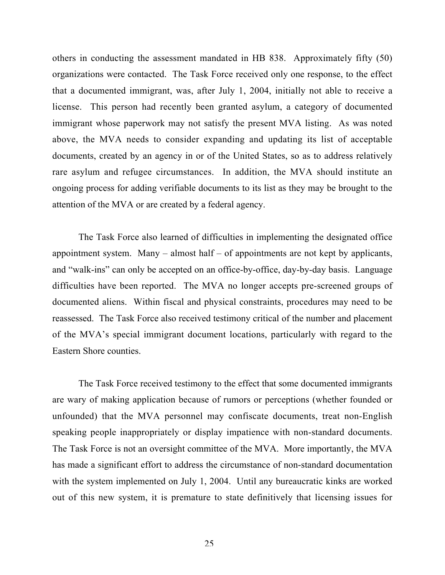others in conducting the assessment mandated in HB 838. Approximately fifty (50) organizations were contacted. The Task Force received only one response, to the effect that a documented immigrant, was, after July 1, 2004, initially not able to receive a license. This person had recently been granted asylum, a category of documented immigrant whose paperwork may not satisfy the present MVA listing. As was noted above, the MVA needs to consider expanding and updating its list of acceptable documents, created by an agency in or of the United States, so as to address relatively rare asylum and refugee circumstances. In addition, the MVA should institute an ongoing process for adding verifiable documents to its list as they may be brought to the attention of the MVA or are created by a federal agency.

The Task Force also learned of difficulties in implementing the designated office appointment system. Many – almost half – of appointments are not kept by applicants, and "walk-ins" can only be accepted on an office-by-office, day-by-day basis. Language difficulties have been reported. The MVA no longer accepts pre-screened groups of documented aliens. Within fiscal and physical constraints, procedures may need to be reassessed. The Task Force also received testimony critical of the number and placement of the MVA's special immigrant document locations, particularly with regard to the Eastern Shore counties.

The Task Force received testimony to the effect that some documented immigrants are wary of making application because of rumors or perceptions (whether founded or unfounded) that the MVA personnel may confiscate documents, treat non-English speaking people inappropriately or display impatience with non-standard documents. The Task Force is not an oversight committee of the MVA. More importantly, the MVA has made a significant effort to address the circumstance of non-standard documentation with the system implemented on July 1, 2004. Until any bureaucratic kinks are worked out of this new system, it is premature to state definitively that licensing issues for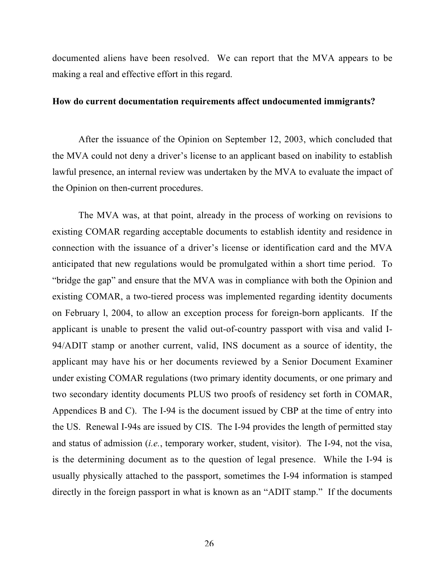documented aliens have been resolved. We can report that the MVA appears to be making a real and effective effort in this regard.

# How do current documentation requirements affect undocumented immigrants?

After the issuance of the Opinion on September 12, 2003, which concluded that the MVA could not deny a driver's license to an applicant based on inability to establish lawful presence, an internal review was undertaken by the MVA to evaluate the impact of the Opinion on then-current procedures.

The MVA was, at that point, already in the process of working on revisions to existing COMAR regarding acceptable documents to establish identity and residence in connection with the issuance of a driver's license or identification card and the MVA anticipated that new regulations would be promulgated within a short time period. To "bridge the gap" and ensure that the MVA was in compliance with both the Opinion and existing COMAR, a two-tiered process was implemented regarding identity documents on February l, 2004, to allow an exception process for foreign-born applicants. If the applicant is unable to present the valid out-of-country passport with visa and valid I-94/ADIT stamp or another current, valid, INS document as a source of identity, the applicant may have his or her documents reviewed by a Senior Document Examiner under existing COMAR regulations (two primary identity documents, or one primary and two secondary identity documents PLUS two proofs of residency set forth in COMAR, Appendices B and C). The I-94 is the document issued by CBP at the time of entry into the US. Renewal I-94s are issued by CIS. The I-94 provides the length of permitted stay and status of admission (*i.e.*, temporary worker, student, visitor). The I-94, not the visa, is the determining document as to the question of legal presence. While the I-94 is usually physically attached to the passport, sometimes the I-94 information is stamped directly in the foreign passport in what is known as an "ADIT stamp." If the documents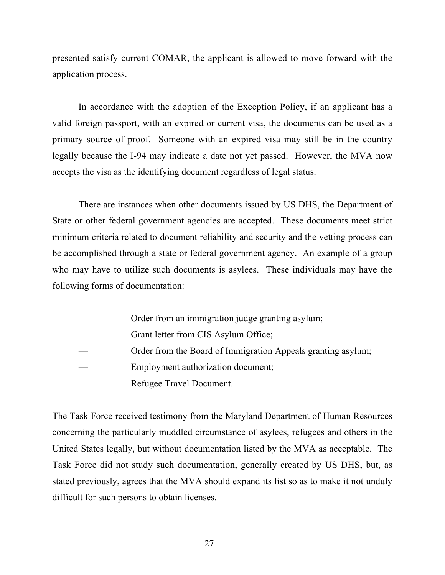presented satisfy current COMAR, the applicant is allowed to move forward with the application process.

In accordance with the adoption of the Exception Policy, if an applicant has a valid foreign passport, with an expired or current visa, the documents can be used as a primary source of proof. Someone with an expired visa may still be in the country legally because the I-94 may indicate a date not yet passed. However, the MVA now accepts the visa as the identifying document regardless of legal status.

There are instances when other documents issued by US DHS, the Department of State or other federal government agencies are accepted. These documents meet strict minimum criteria related to document reliability and security and the vetting process can be accomplished through a state or federal government agency. An example of a group who may have to utilize such documents is asylees. These individuals may have the following forms of documentation:

- Order from an immigration judge granting asylum;
- Grant letter from CIS Asylum Office;
- Order from the Board of Immigration Appeals granting asylum;
- Employment authorization document;
- Refugee Travel Document.

The Task Force received testimony from the Maryland Department of Human Resources concerning the particularly muddled circumstance of asylees, refugees and others in the United States legally, but without documentation listed by the MVA as acceptable. The Task Force did not study such documentation, generally created by US DHS, but, as stated previously, agrees that the MVA should expand its list so as to make it not unduly difficult for such persons to obtain licenses.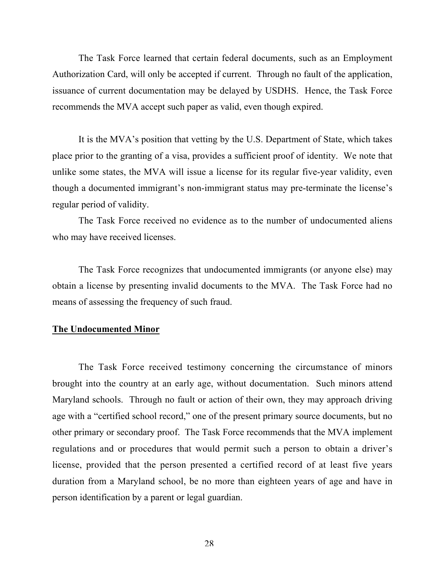The Task Force learned that certain federal documents, such as an Employment Authorization Card, will only be accepted if current. Through no fault of the application, issuance of current documentation may be delayed by USDHS. Hence, the Task Force recommends the MVA accept such paper as valid, even though expired.

It is the MVA's position that vetting by the U.S. Department of State, which takes place prior to the granting of a visa, provides a sufficient proof of identity. We note that unlike some states, the MVA will issue a license for its regular five-year validity, even though a documented immigrant's non-immigrant status may pre-terminate the license's regular period of validity.

The Task Force received no evidence as to the number of undocumented aliens who may have received licenses.

The Task Force recognizes that undocumented immigrants (or anyone else) may obtain a license by presenting invalid documents to the MVA. The Task Force had no means of assessing the frequency of such fraud.

## The Undocumented Minor

The Task Force received testimony concerning the circumstance of minors brought into the country at an early age, without documentation. Such minors attend Maryland schools. Through no fault or action of their own, they may approach driving age with a "certified school record," one of the present primary source documents, but no other primary or secondary proof. The Task Force recommends that the MVA implement regulations and or procedures that would permit such a person to obtain a driver's license, provided that the person presented a certified record of at least five years duration from a Maryland school, be no more than eighteen years of age and have in person identification by a parent or legal guardian.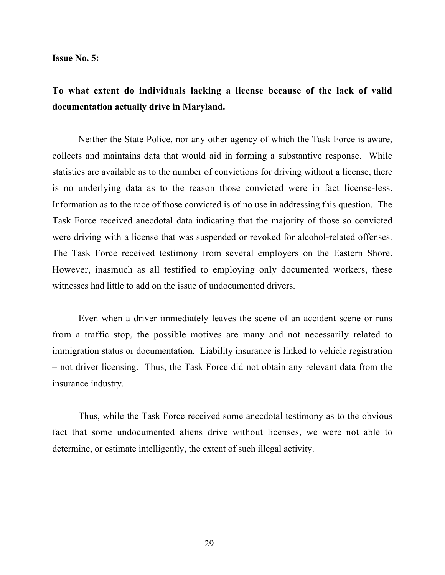Issue No. 5:

# To what extent do individuals lacking a license because of the lack of valid documentation actually drive in Maryland.

Neither the State Police, nor any other agency of which the Task Force is aware, collects and maintains data that would aid in forming a substantive response. While statistics are available as to the number of convictions for driving without a license, there is no underlying data as to the reason those convicted were in fact license-less. Information as to the race of those convicted is of no use in addressing this question. The Task Force received anecdotal data indicating that the majority of those so convicted were driving with a license that was suspended or revoked for alcohol-related offenses. The Task Force received testimony from several employers on the Eastern Shore. However, inasmuch as all testified to employing only documented workers, these witnesses had little to add on the issue of undocumented drivers.

Even when a driver immediately leaves the scene of an accident scene or runs from a traffic stop, the possible motives are many and not necessarily related to immigration status or documentation. Liability insurance is linked to vehicle registration – not driver licensing. Thus, the Task Force did not obtain any relevant data from the insurance industry.

Thus, while the Task Force received some anecdotal testimony as to the obvious fact that some undocumented aliens drive without licenses, we were not able to determine, or estimate intelligently, the extent of such illegal activity.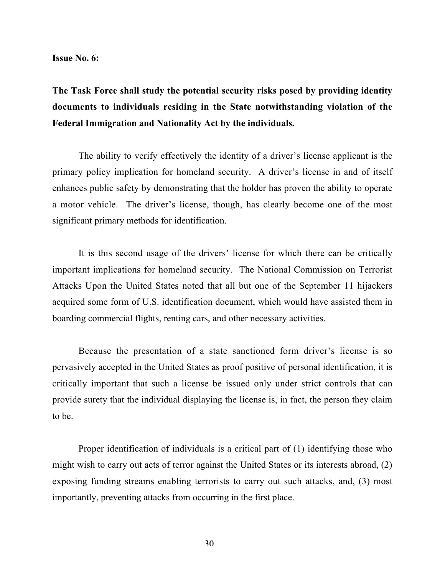Issue No. 6:

# The Task Force shall study the potential security risks posed by providing identity documents to individuals residing in the State notwithstanding violation of the Federal Immigration and Nationality Act by the individuals.

The ability to verify effectively the identity of a driver's license applicant is the primary policy implication for homeland security. A driver's license in and of itself enhances public safety by demonstrating that the holder has proven the ability to operate a motor vehicle. The driver's license, though, has clearly become one of the most significant primary methods for identification.

It is this second usage of the drivers' license for which there can be critically important implications for homeland security. The National Commission on Terrorist Attacks Upon the United States noted that all but one of the September 11 hijackers acquired some form of U.S. identification document, which would have assisted them in boarding commercial flights, renting cars, and other necessary activities.

Because the presentation of a state sanctioned form driver's license is so pervasively accepted in the United States as proof positive of personal identification, it is critically important that such a license be issued only under strict controls that can provide surety that the individual displaying the license is, in fact, the person they claim to be.

Proper identification of individuals is a critical part of (1) identifying those who might wish to carry out acts of terror against the United States or its interests abroad, (2) exposing funding streams enabling terrorists to carry out such attacks, and, (3) most importantly, preventing attacks from occurring in the first place.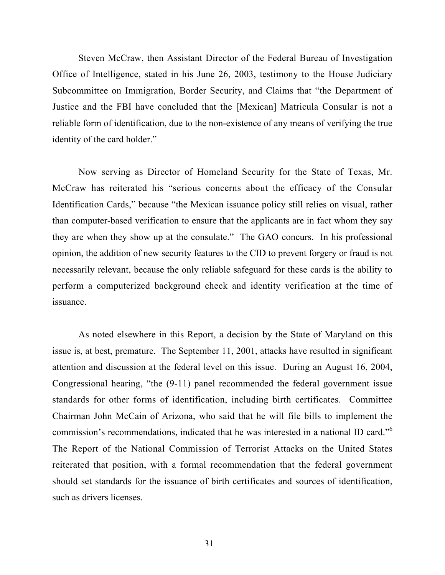Steven McCraw, then Assistant Director of the Federal Bureau of Investigation Office of Intelligence, stated in his June 26, 2003, testimony to the House Judiciary Subcommittee on Immigration, Border Security, and Claims that "the Department of Justice and the FBI have concluded that the [Mexican] Matricula Consular is not a reliable form of identification, due to the non-existence of any means of verifying the true identity of the card holder."

Now serving as Director of Homeland Security for the State of Texas, Mr. McCraw has reiterated his "serious concerns about the efficacy of the Consular Identification Cards," because "the Mexican issuance policy still relies on visual, rather than computer-based verification to ensure that the applicants are in fact whom they say they are when they show up at the consulate." The GAO concurs. In his professional opinion, the addition of new security features to the CID to prevent forgery or fraud is not necessarily relevant, because the only reliable safeguard for these cards is the ability to perform a computerized background check and identity verification at the time of issuance.

As noted elsewhere in this Report, a decision by the State of Maryland on this issue is, at best, premature. The September 11, 2001, attacks have resulted in significant attention and discussion at the federal level on this issue. During an August 16, 2004, Congressional hearing, "the (9-11) panel recommended the federal government issue standards for other forms of identification, including birth certificates. Committee Chairman John McCain of Arizona, who said that he will file bills to implement the commission's recommendations, indicated that he was interested in a national ID card."<sup>6</sup> The Report of the National Commission of Terrorist Attacks on the United States reiterated that position, with a formal recommendation that the federal government should set standards for the issuance of birth certificates and sources of identification, such as drivers licenses.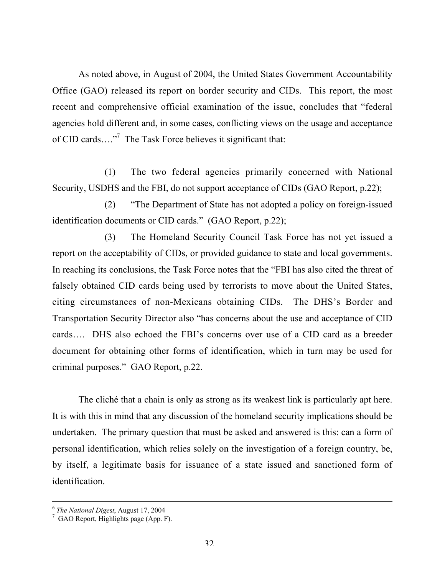As noted above, in August of 2004, the United States Government Accountability Office (GAO) released its report on border security and CIDs. This report, the most recent and comprehensive official examination of the issue, concludes that "federal agencies hold different and, in some cases, conflicting views on the usage and acceptance of CID cards...."<sup>7</sup> The Task Force believes it significant that:

(1) The two federal agencies primarily concerned with National Security, USDHS and the FBI, do not support acceptance of CIDs (GAO Report, p.22);

(2) "The Department of State has not adopted a policy on foreign-issued identification documents or CID cards." (GAO Report, p.22);

(3) The Homeland Security Council Task Force has not yet issued a report on the acceptability of CIDs, or provided guidance to state and local governments. In reaching its conclusions, the Task Force notes that the "FBI has also cited the threat of falsely obtained CID cards being used by terrorists to move about the United States, citing circumstances of non-Mexicans obtaining CIDs. The DHS's Border and Transportation Security Director also "has concerns about the use and acceptance of CID cards…. DHS also echoed the FBI's concerns over use of a CID card as a breeder document for obtaining other forms of identification, which in turn may be used for criminal purposes." GAO Report, p.22.

The cliché that a chain is only as strong as its weakest link is particularly apt here. It is with this in mind that any discussion of the homeland security implications should be undertaken. The primary question that must be asked and answered is this: can a form of personal identification, which relies solely on the investigation of a foreign country, be, by itself, a legitimate basis for issuance of a state issued and sanctioned form of identification.

 $\frac{1}{6}$ <sup>6</sup> The National Digest, August 17, 2004

 $\frac{7}{7}$  GAO Report, Highlights page (App. F).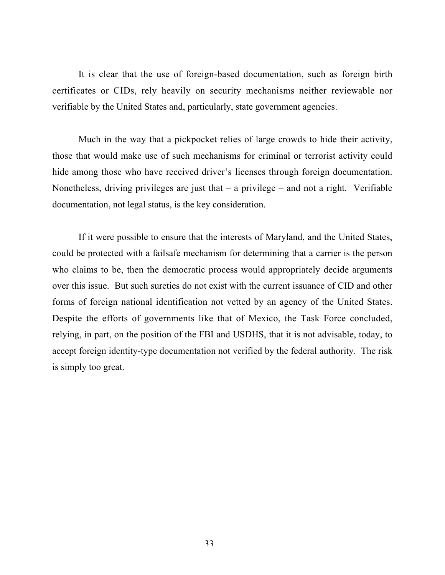It is clear that the use of foreign-based documentation, such as foreign birth certificates or CIDs, rely heavily on security mechanisms neither reviewable nor verifiable by the United States and, particularly, state government agencies.

Much in the way that a pickpocket relies of large crowds to hide their activity, those that would make use of such mechanisms for criminal or terrorist activity could hide among those who have received driver's licenses through foreign documentation. Nonetheless, driving privileges are just that  $-$  a privilege  $-$  and not a right. Verifiable documentation, not legal status, is the key consideration.

If it were possible to ensure that the interests of Maryland, and the United States, could be protected with a failsafe mechanism for determining that a carrier is the person who claims to be, then the democratic process would appropriately decide arguments over this issue. But such sureties do not exist with the current issuance of CID and other forms of foreign national identification not vetted by an agency of the United States. Despite the efforts of governments like that of Mexico, the Task Force concluded, relying, in part, on the position of the FBI and USDHS, that it is not advisable, today, to accept foreign identity-type documentation not verified by the federal authority. The risk is simply too great.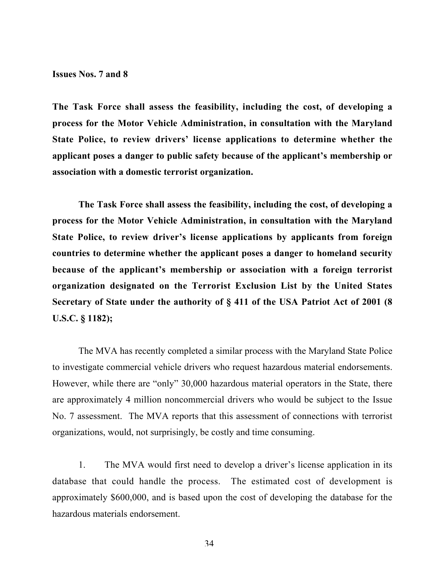Issues Nos. 7 and 8

The Task Force shall assess the feasibility, including the cost, of developing a process for the Motor Vehicle Administration, in consultation with the Maryland State Police, to review drivers' license applications to determine whether the applicant poses a danger to public safety because of the applicant's membership or association with a domestic terrorist organization.

The Task Force shall assess the feasibility, including the cost, of developing a process for the Motor Vehicle Administration, in consultation with the Maryland State Police, to review driver's license applications by applicants from foreign countries to determine whether the applicant poses a danger to homeland security because of the applicant's membership or association with a foreign terrorist organization designated on the Terrorist Exclusion List by the United States Secretary of State under the authority of § 411 of the USA Patriot Act of 2001 (8 U.S.C. § 1182);

The MVA has recently completed a similar process with the Maryland State Police to investigate commercial vehicle drivers who request hazardous material endorsements. However, while there are "only" 30,000 hazardous material operators in the State, there are approximately 4 million noncommercial drivers who would be subject to the Issue No. 7 assessment. The MVA reports that this assessment of connections with terrorist organizations, would, not surprisingly, be costly and time consuming.

1. The MVA would first need to develop a driver's license application in its database that could handle the process. The estimated cost of development is approximately \$600,000, and is based upon the cost of developing the database for the hazardous materials endorsement.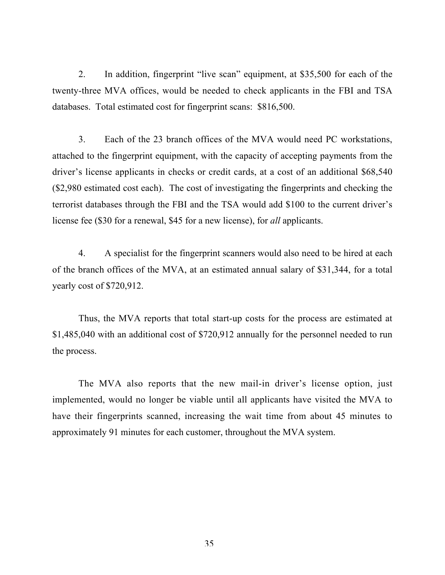2. In addition, fingerprint "live scan" equipment, at \$35,500 for each of the twenty-three MVA offices, would be needed to check applicants in the FBI and TSA databases. Total estimated cost for fingerprint scans: \$816,500.

3. Each of the 23 branch offices of the MVA would need PC workstations, attached to the fingerprint equipment, with the capacity of accepting payments from the driver's license applicants in checks or credit cards, at a cost of an additional \$68,540 (\$2,980 estimated cost each). The cost of investigating the fingerprints and checking the terrorist databases through the FBI and the TSA would add \$100 to the current driver's license fee (\$30 for a renewal, \$45 for a new license), for *all* applicants.

4. A specialist for the fingerprint scanners would also need to be hired at each of the branch offices of the MVA, at an estimated annual salary of \$31,344, for a total yearly cost of \$720,912.

Thus, the MVA reports that total start-up costs for the process are estimated at \$1,485,040 with an additional cost of \$720,912 annually for the personnel needed to run the process.

The MVA also reports that the new mail-in driver's license option, just implemented, would no longer be viable until all applicants have visited the MVA to have their fingerprints scanned, increasing the wait time from about 45 minutes to approximately 91 minutes for each customer, throughout the MVA system.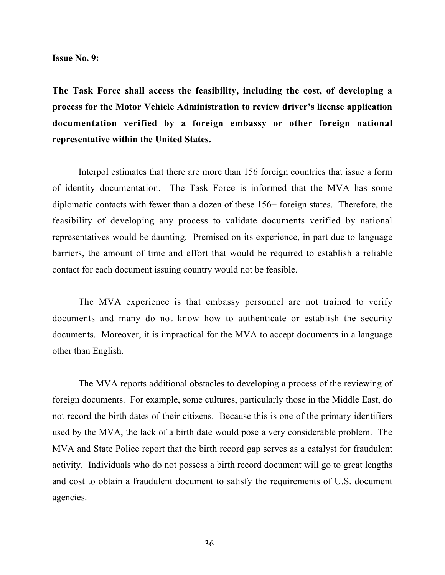Issue No. 9:

The Task Force shall access the feasibility, including the cost, of developing a process for the Motor Vehicle Administration to review driver's license application documentation verified by a foreign embassy or other foreign national representative within the United States.

Interpol estimates that there are more than 156 foreign countries that issue a form of identity documentation. The Task Force is informed that the MVA has some diplomatic contacts with fewer than a dozen of these 156+ foreign states. Therefore, the feasibility of developing any process to validate documents verified by national representatives would be daunting. Premised on its experience, in part due to language barriers, the amount of time and effort that would be required to establish a reliable contact for each document issuing country would not be feasible.

The MVA experience is that embassy personnel are not trained to verify documents and many do not know how to authenticate or establish the security documents. Moreover, it is impractical for the MVA to accept documents in a language other than English.

The MVA reports additional obstacles to developing a process of the reviewing of foreign documents. For example, some cultures, particularly those in the Middle East, do not record the birth dates of their citizens. Because this is one of the primary identifiers used by the MVA, the lack of a birth date would pose a very considerable problem. The MVA and State Police report that the birth record gap serves as a catalyst for fraudulent activity. Individuals who do not possess a birth record document will go to great lengths and cost to obtain a fraudulent document to satisfy the requirements of U.S. document agencies.

36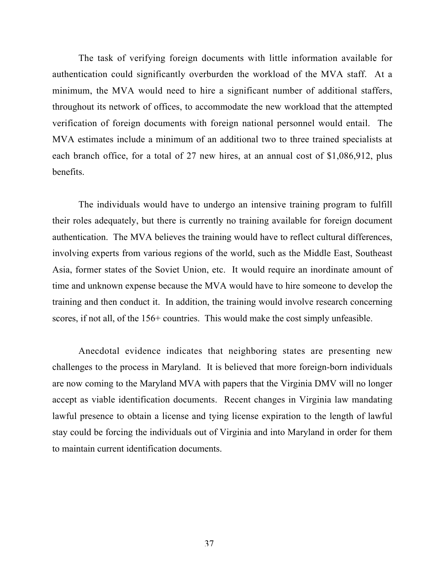The task of verifying foreign documents with little information available for authentication could significantly overburden the workload of the MVA staff. At a minimum, the MVA would need to hire a significant number of additional staffers, throughout its network of offices, to accommodate the new workload that the attempted verification of foreign documents with foreign national personnel would entail. The MVA estimates include a minimum of an additional two to three trained specialists at each branch office, for a total of 27 new hires, at an annual cost of \$1,086,912, plus benefits.

The individuals would have to undergo an intensive training program to fulfill their roles adequately, but there is currently no training available for foreign document authentication. The MVA believes the training would have to reflect cultural differences, involving experts from various regions of the world, such as the Middle East, Southeast Asia, former states of the Soviet Union, etc. It would require an inordinate amount of time and unknown expense because the MVA would have to hire someone to develop the training and then conduct it. In addition, the training would involve research concerning scores, if not all, of the 156+ countries. This would make the cost simply unfeasible.

Anecdotal evidence indicates that neighboring states are presenting new challenges to the process in Maryland. It is believed that more foreign-born individuals are now coming to the Maryland MVA with papers that the Virginia DMV will no longer accept as viable identification documents. Recent changes in Virginia law mandating lawful presence to obtain a license and tying license expiration to the length of lawful stay could be forcing the individuals out of Virginia and into Maryland in order for them to maintain current identification documents.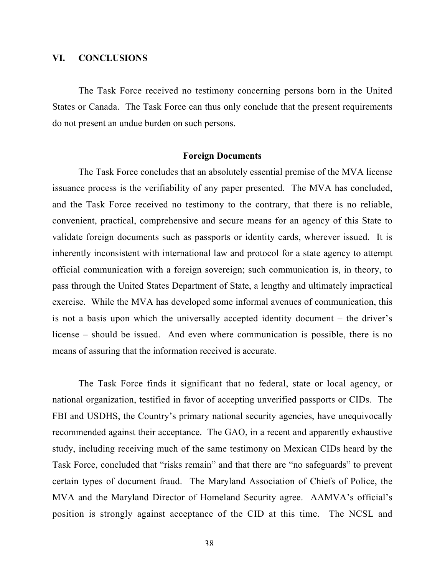#### VI. CONCLUSIONS

The Task Force received no testimony concerning persons born in the United States or Canada. The Task Force can thus only conclude that the present requirements do not present an undue burden on such persons.

#### Foreign Documents

The Task Force concludes that an absolutely essential premise of the MVA license issuance process is the verifiability of any paper presented. The MVA has concluded, and the Task Force received no testimony to the contrary, that there is no reliable, convenient, practical, comprehensive and secure means for an agency of this State to validate foreign documents such as passports or identity cards, wherever issued. It is inherently inconsistent with international law and protocol for a state agency to attempt official communication with a foreign sovereign; such communication is, in theory, to pass through the United States Department of State, a lengthy and ultimately impractical exercise. While the MVA has developed some informal avenues of communication, this is not a basis upon which the universally accepted identity document – the driver's license – should be issued. And even where communication is possible, there is no means of assuring that the information received is accurate.

The Task Force finds it significant that no federal, state or local agency, or national organization, testified in favor of accepting unverified passports or CIDs. The FBI and USDHS, the Country's primary national security agencies, have unequivocally recommended against their acceptance. The GAO, in a recent and apparently exhaustive study, including receiving much of the same testimony on Mexican CIDs heard by the Task Force, concluded that "risks remain" and that there are "no safeguards" to prevent certain types of document fraud. The Maryland Association of Chiefs of Police, the MVA and the Maryland Director of Homeland Security agree. AAMVA's official's position is strongly against acceptance of the CID at this time. The NCSL and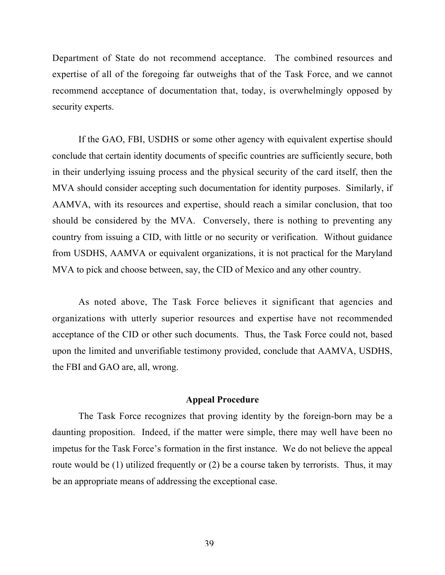Department of State do not recommend acceptance. The combined resources and expertise of all of the foregoing far outweighs that of the Task Force, and we cannot recommend acceptance of documentation that, today, is overwhelmingly opposed by security experts.

If the GAO, FBI, USDHS or some other agency with equivalent expertise should conclude that certain identity documents of specific countries are sufficiently secure, both in their underlying issuing process and the physical security of the card itself, then the MVA should consider accepting such documentation for identity purposes. Similarly, if AAMVA, with its resources and expertise, should reach a similar conclusion, that too should be considered by the MVA. Conversely, there is nothing to preventing any country from issuing a CID, with little or no security or verification. Without guidance from USDHS, AAMVA or equivalent organizations, it is not practical for the Maryland MVA to pick and choose between, say, the CID of Mexico and any other country.

As noted above, The Task Force believes it significant that agencies and organizations with utterly superior resources and expertise have not recommended acceptance of the CID or other such documents. Thus, the Task Force could not, based upon the limited and unverifiable testimony provided, conclude that AAMVA, USDHS, the FBI and GAO are, all, wrong.

## Appeal Procedure

The Task Force recognizes that proving identity by the foreign-born may be a daunting proposition. Indeed, if the matter were simple, there may well have been no impetus for the Task Force's formation in the first instance. We do not believe the appeal route would be (1) utilized frequently or (2) be a course taken by terrorists. Thus, it may be an appropriate means of addressing the exceptional case.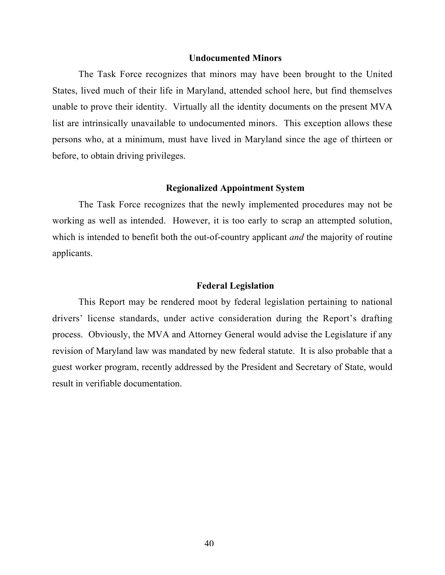#### Undocumented Minors

The Task Force recognizes that minors may have been brought to the United States, lived much of their life in Maryland, attended school here, but find themselves unable to prove their identity. Virtually all the identity documents on the present MVA list are intrinsically unavailable to undocumented minors. This exception allows these persons who, at a minimum, must have lived in Maryland since the age of thirteen or before, to obtain driving privileges.

#### Regionalized Appointment System

The Task Force recognizes that the newly implemented procedures may not be working as well as intended. However, it is too early to scrap an attempted solution, which is intended to benefit both the out-of-country applicant *and* the majority of routine applicants.

#### Federal Legislation

This Report may be rendered moot by federal legislation pertaining to national drivers' license standards, under active consideration during the Report's drafting process. Obviously, the MVA and Attorney General would advise the Legislature if any revision of Maryland law was mandated by new federal statute. It is also probable that a guest worker program, recently addressed by the President and Secretary of State, would result in verifiable documentation.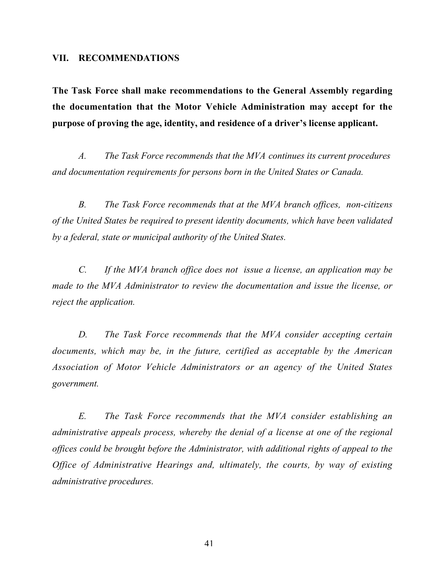#### VII. RECOMMENDATIONS

The Task Force shall make recommendations to the General Assembly regarding the documentation that the Motor Vehicle Administration may accept for the purpose of proving the age, identity, and residence of a driver's license applicant.

*A. The Task Force recommends that the MVA continues its current procedures and documentation requirements for persons born in the United States or Canada.*

*B. The Task Force recommends that at the MVA branch offices, non-citizens of the United States be required to present identity documents, which have been validated by a federal, state or municipal authority of the United States.*

*C. If the MVA branch office does not issue a license, an application may be made to the MVA Administrator to review the documentation and issue the license, or reject the application.*

*D. The Task Force recommends that the MVA consider accepting certain documents, which may be, in the future, certified as acceptable by the American Association of Motor Vehicle Administrators or an agency of the United States government.*

*E. The Task Force recommends that the MVA consider establishing an administrative appeals process, whereby the denial of a license at one of the regional offices could be brought before the Administrator, with additional rights of appeal to the Office of Administrative Hearings and, ultimately, the courts, by way of existing administrative procedures.*

41